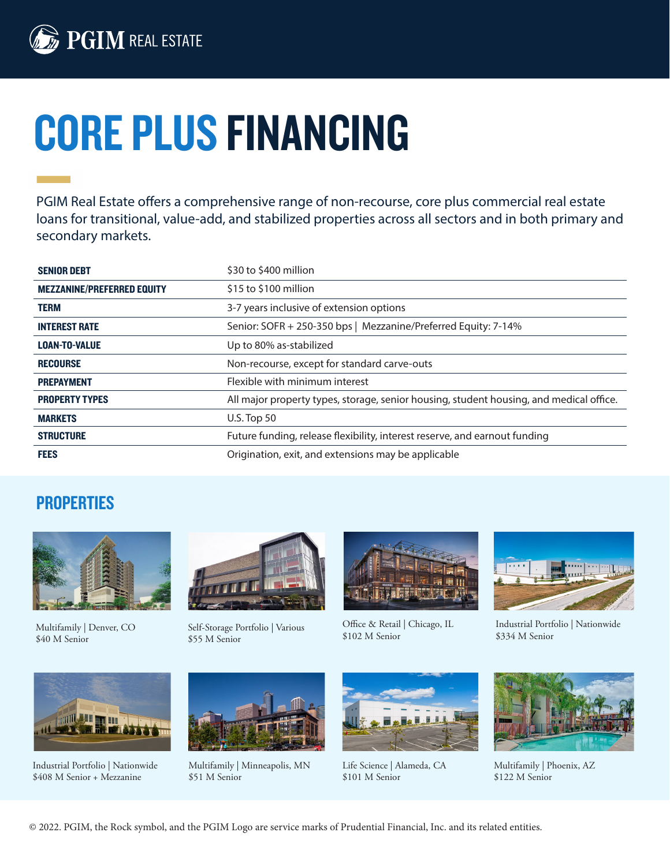

## CORE PLUS FINANCING

PGIM Real Estate offers a comprehensive range of non-recourse, core plus commercial real estate loans for transitional, value-add, and stabilized properties across all sectors and in both primary and secondary markets.

| <b>SENIOR DEBT</b>                | \$30 to \$400 million                                                                   |
|-----------------------------------|-----------------------------------------------------------------------------------------|
| <b>MEZZANINE/PREFERRED EQUITY</b> | \$15 to \$100 million                                                                   |
| <b>TERM</b>                       | 3-7 years inclusive of extension options                                                |
| <b>INTEREST RATE</b>              | Senior: SOFR + 250-350 bps   Mezzanine/Preferred Equity: 7-14%                          |
| <b>LOAN-TO-VALUE</b>              | Up to 80% as-stabilized                                                                 |
| <b>RECOURSE</b>                   | Non-recourse, except for standard carve-outs                                            |
| <b>PREPAYMENT</b>                 | Flexible with minimum interest                                                          |
| <b>PROPERTY TYPES</b>             | All major property types, storage, senior housing, student housing, and medical office. |
| <b>MARKETS</b>                    | $U.S.$ Top 50                                                                           |
| <b>STRUCTURE</b>                  | Future funding, release flexibility, interest reserve, and earnout funding              |
| <b>FEES</b>                       | Origination, exit, and extensions may be applicable                                     |

## PROPERTIES



Multifamily | Denver, CO \$40 M Senior



Self-Storage Portfolio | Various \$55 M Senior



Office & Retail | Chicago, IL \$102 M Senior



Industrial Portfolio | Nationwide \$334 M Senior



Industrial Portfolio | Nationwide \$408 M Senior + Mezzanine



Multifamily | Minneapolis, MN \$51 M Senior



Life Science | Alameda, CA \$101 M Senior



Multifamily | Phoenix, AZ \$122 M Senior